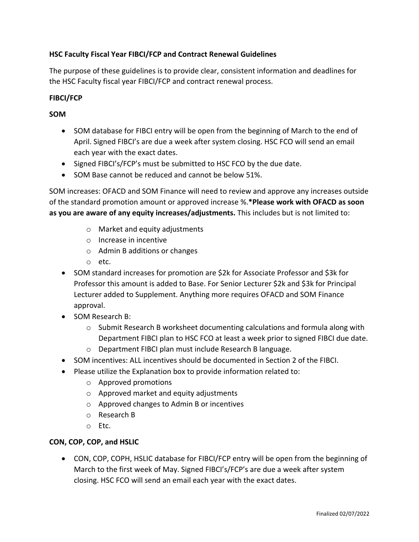# **HSC Faculty Fiscal Year FIBCI/FCP and Contract Renewal Guidelines**

The purpose of these guidelines is to provide clear, consistent information and deadlines for the HSC Faculty fiscal year FIBCI/FCP and contract renewal process.

## **FIBCI/FCP**

## **SOM**

- SOM database for FIBCI entry will be open from the beginning of March to the end of April. Signed FIBCI's are due a week after system closing. HSC FCO will send an email each year with the exact dates.
- Signed FIBCI's/FCP's must be submitted to HSC FCO by the due date.
- SOM Base cannot be reduced and cannot be below 51%.

SOM increases: OFACD and SOM Finance will need to review and approve any increases outside of the standard promotion amount or approved increase %.**\*Please work with OFACD as soon as you are aware of any equity increases/adjustments.** This includes but is not limited to:

- o Market and equity adjustments
- o Increase in incentive
- o Admin B additions or changes
- o etc.
- SOM standard increases for promotion are \$2k for Associate Professor and \$3k for Professor this amount is added to Base. For Senior Lecturer \$2k and \$3k for Principal Lecturer added to Supplement. Anything more requires OFACD and SOM Finance approval.
- SOM Research B:
	- o Submit Research B worksheet documenting calculations and formula along with Department FIBCI plan to HSC FCO at least a week prior to signed FIBCI due date.
	- o Department FIBCI plan must include Research B language.
- SOM incentives: ALL incentives should be documented in Section 2 of the FIBCI.
- Please utilize the Explanation box to provide information related to:
	- o Approved promotions
	- o Approved market and equity adjustments
	- o Approved changes to Admin B or incentives
	- o Research B
	- o Etc.

#### **CON, COP, COP, and HSLIC**

• CON, COP, COPH, HSLIC database for FIBCI/FCP entry will be open from the beginning of March to the first week of May. Signed FIBCI's/FCP's are due a week after system closing. HSC FCO will send an email each year with the exact dates.